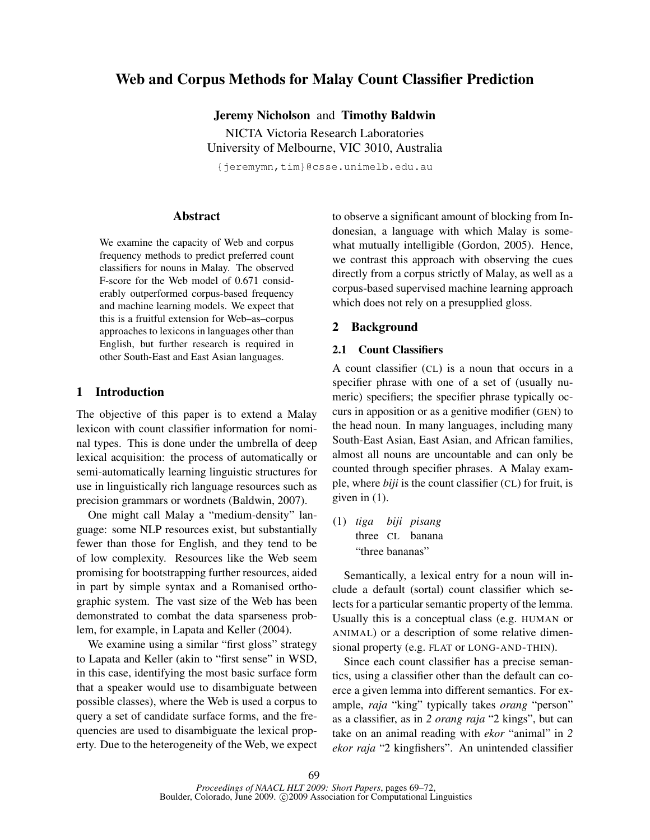# Web and Corpus Methods for Malay Count Classifier Prediction

Jeremy Nicholson and Timothy Baldwin

NICTA Victoria Research Laboratories University of Melbourne, VIC 3010, Australia

{jeremymn,tim}@csse.unimelb.edu.au

## Abstract

We examine the capacity of Web and corpus frequency methods to predict preferred count classifiers for nouns in Malay. The observed F-score for the Web model of 0.671 considerably outperformed corpus-based frequency and machine learning models. We expect that this is a fruitful extension for Web–as–corpus approaches to lexicons in languages other than English, but further research is required in other South-East and East Asian languages.

## 1 Introduction

The objective of this paper is to extend a Malay lexicon with count classifier information for nominal types. This is done under the umbrella of deep lexical acquisition: the process of automatically or semi-automatically learning linguistic structures for use in linguistically rich language resources such as precision grammars or wordnets (Baldwin, 2007).

One might call Malay a "medium-density" language: some NLP resources exist, but substantially fewer than those for English, and they tend to be of low complexity. Resources like the Web seem promising for bootstrapping further resources, aided in part by simple syntax and a Romanised orthographic system. The vast size of the Web has been demonstrated to combat the data sparseness problem, for example, in Lapata and Keller (2004).

We examine using a similar "first gloss" strategy to Lapata and Keller (akin to "first sense" in WSD, in this case, identifying the most basic surface form that a speaker would use to disambiguate between possible classes), where the Web is used a corpus to query a set of candidate surface forms, and the frequencies are used to disambiguate the lexical property. Due to the heterogeneity of the Web, we expect to observe a significant amount of blocking from Indonesian, a language with which Malay is somewhat mutually intelligible (Gordon, 2005). Hence, we contrast this approach with observing the cues directly from a corpus strictly of Malay, as well as a corpus-based supervised machine learning approach which does not rely on a presupplied gloss.

#### 2 Background

### 2.1 Count Classifiers

A count classifier (CL) is a noun that occurs in a specifier phrase with one of a set of (usually numeric) specifiers; the specifier phrase typically occurs in apposition or as a genitive modifier (GEN) to the head noun. In many languages, including many South-East Asian, East Asian, and African families, almost all nouns are uncountable and can only be counted through specifier phrases. A Malay example, where *biji* is the count classifier (CL) for fruit, is given in (1).

(1) *tiga biji pisang* three CL banana "three bananas"

Semantically, a lexical entry for a noun will include a default (sortal) count classifier which selects for a particular semantic property of the lemma. Usually this is a conceptual class (e.g. HUMAN or ANIMAL) or a description of some relative dimensional property (e.g. FLAT or LONG-AND-THIN).

Since each count classifier has a precise semantics, using a classifier other than the default can coerce a given lemma into different semantics. For example, *raja* "king" typically takes *orang* "person" as a classifier, as in *2 orang raja* "2 kings", but can take on an animal reading with *ekor* "animal" in *2 ekor raja* "2 kingfishers". An unintended classifier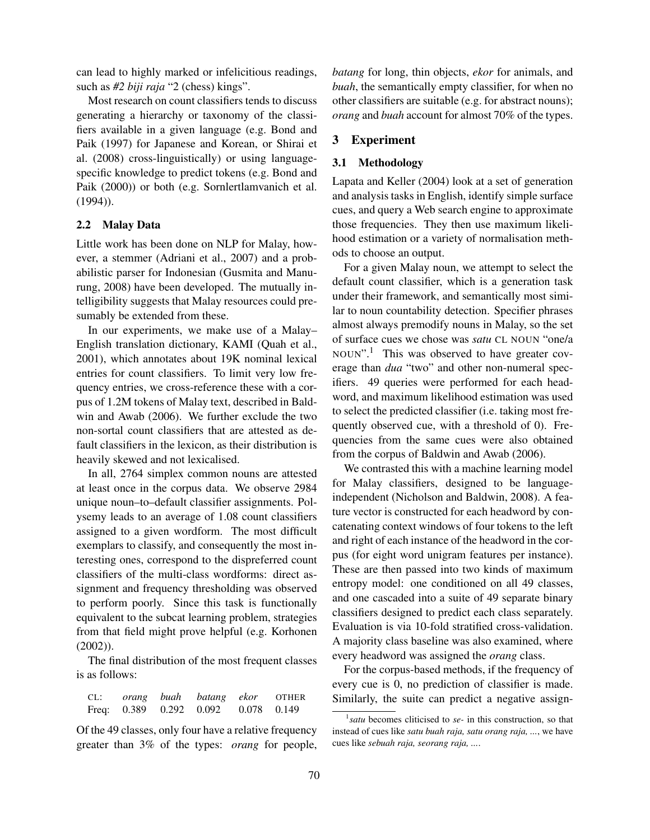can lead to highly marked or infelicitious readings, such as *#2 biji raja* "2 (chess) kings".

Most research on count classifiers tends to discuss generating a hierarchy or taxonomy of the classifiers available in a given language (e.g. Bond and Paik (1997) for Japanese and Korean, or Shirai et al. (2008) cross-linguistically) or using languagespecific knowledge to predict tokens (e.g. Bond and Paik (2000)) or both (e.g. Sornlertlamvanich et al. (1994)).

#### 2.2 Malay Data

Little work has been done on NLP for Malay, however, a stemmer (Adriani et al., 2007) and a probabilistic parser for Indonesian (Gusmita and Manurung, 2008) have been developed. The mutually intelligibility suggests that Malay resources could presumably be extended from these.

In our experiments, we make use of a Malay– English translation dictionary, KAMI (Quah et al., 2001), which annotates about 19K nominal lexical entries for count classifiers. To limit very low frequency entries, we cross-reference these with a corpus of 1.2M tokens of Malay text, described in Baldwin and Awab (2006). We further exclude the two non-sortal count classifiers that are attested as default classifiers in the lexicon, as their distribution is heavily skewed and not lexicalised.

In all, 2764 simplex common nouns are attested at least once in the corpus data. We observe 2984 unique noun–to–default classifier assignments. Polysemy leads to an average of 1.08 count classifiers assigned to a given wordform. The most difficult exemplars to classify, and consequently the most interesting ones, correspond to the dispreferred count classifiers of the multi-class wordforms: direct assignment and frequency thresholding was observed to perform poorly. Since this task is functionally equivalent to the subcat learning problem, strategies from that field might prove helpful (e.g. Korhonen (2002)).

The final distribution of the most frequent classes is as follows:

CL: *orang buah batang ekor* OTHER Freq: 0.389 0.292 0.092 0.078 0.149

Of the 49 classes, only four have a relative frequency greater than 3% of the types: *orang* for people,

*batang* for long, thin objects, *ekor* for animals, and *buah*, the semantically empty classifier, for when no other classifiers are suitable (e.g. for abstract nouns); *orang* and *buah* account for almost 70% of the types.

#### 3 Experiment

### 3.1 Methodology

Lapata and Keller (2004) look at a set of generation and analysis tasks in English, identify simple surface cues, and query a Web search engine to approximate those frequencies. They then use maximum likelihood estimation or a variety of normalisation methods to choose an output.

For a given Malay noun, we attempt to select the default count classifier, which is a generation task under their framework, and semantically most similar to noun countability detection. Specifier phrases almost always premodify nouns in Malay, so the set of surface cues we chose was *satu* CL NOUN "one/a NOUN".<sup>1</sup> This was observed to have greater coverage than *dua* "two" and other non-numeral specifiers. 49 queries were performed for each headword, and maximum likelihood estimation was used to select the predicted classifier (i.e. taking most frequently observed cue, with a threshold of 0). Frequencies from the same cues were also obtained from the corpus of Baldwin and Awab (2006).

We contrasted this with a machine learning model for Malay classifiers, designed to be languageindependent (Nicholson and Baldwin, 2008). A feature vector is constructed for each headword by concatenating context windows of four tokens to the left and right of each instance of the headword in the corpus (for eight word unigram features per instance). These are then passed into two kinds of maximum entropy model: one conditioned on all 49 classes, and one cascaded into a suite of 49 separate binary classifiers designed to predict each class separately. Evaluation is via 10-fold stratified cross-validation. A majority class baseline was also examined, where every headword was assigned the *orang* class.

For the corpus-based methods, if the frequency of every cue is 0, no prediction of classifier is made. Similarly, the suite can predict a negative assign-

<sup>1</sup> *satu* becomes cliticised to *se-* in this construction, so that instead of cues like *satu buah raja, satu orang raja, ...*, we have cues like *sebuah raja, seorang raja, ...*.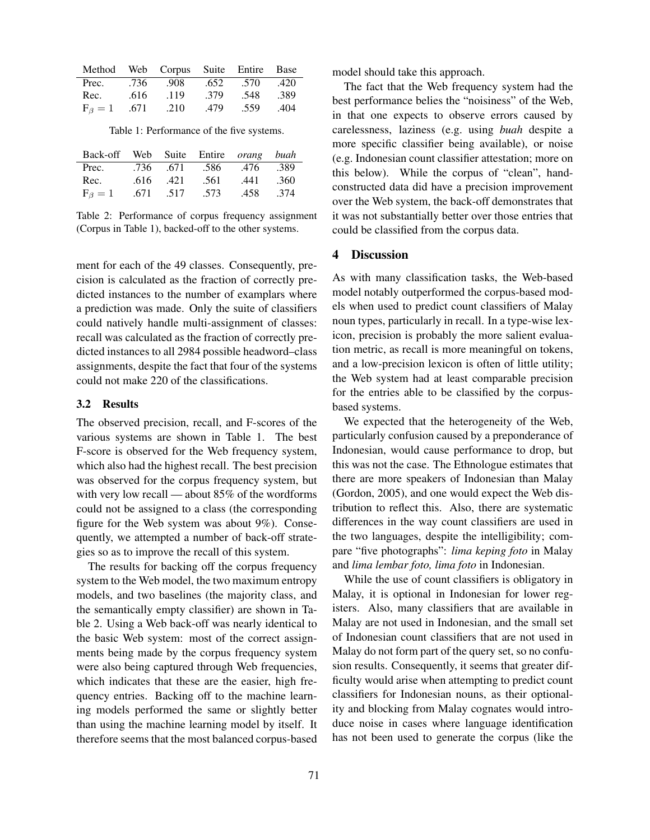|                      |      | Method Web Corpus Suite Entire Base |      |      |      |
|----------------------|------|-------------------------------------|------|------|------|
| Prec.                | .736 | .908                                | .652 | .570 | .420 |
| Rec.                 | .616 | .119                                | .379 | .548 | .389 |
| $F_{\beta} = 1$ .671 |      | .210                                | .479 | .559 | .404 |

Table 1: Performance of the five systems.

| Back-off Web Suite Entire <i>orang</i> buah |          |                          |      |      |
|---------------------------------------------|----------|--------------------------|------|------|
| Prec.                                       |          | .736 .671 .586 .476 .389 |      |      |
| Rec.                                        | .616.421 | .561                     | .441 | .360 |
| $F_{\beta}=1$                               |          | .671 .517 .573           | .458 | .374 |

Table 2: Performance of corpus frequency assignment (Corpus in Table 1), backed-off to the other systems.

ment for each of the 49 classes. Consequently, precision is calculated as the fraction of correctly predicted instances to the number of examplars where a prediction was made. Only the suite of classifiers could natively handle multi-assignment of classes: recall was calculated as the fraction of correctly predicted instances to all 2984 possible headword–class assignments, despite the fact that four of the systems could not make 220 of the classifications.

#### 3.2 Results

The observed precision, recall, and F-scores of the various systems are shown in Table 1. The best F-score is observed for the Web frequency system, which also had the highest recall. The best precision was observed for the corpus frequency system, but with very low recall — about 85% of the wordforms could not be assigned to a class (the corresponding figure for the Web system was about 9%). Consequently, we attempted a number of back-off strategies so as to improve the recall of this system.

The results for backing off the corpus frequency system to the Web model, the two maximum entropy models, and two baselines (the majority class, and the semantically empty classifier) are shown in Table 2. Using a Web back-off was nearly identical to the basic Web system: most of the correct assignments being made by the corpus frequency system were also being captured through Web frequencies, which indicates that these are the easier, high frequency entries. Backing off to the machine learning models performed the same or slightly better than using the machine learning model by itself. It therefore seems that the most balanced corpus-based model should take this approach.

The fact that the Web frequency system had the best performance belies the "noisiness" of the Web, in that one expects to observe errors caused by carelessness, laziness (e.g. using *buah* despite a more specific classifier being available), or noise (e.g. Indonesian count classifier attestation; more on this below). While the corpus of "clean", handconstructed data did have a precision improvement over the Web system, the back-off demonstrates that it was not substantially better over those entries that could be classified from the corpus data.

#### 4 Discussion

As with many classification tasks, the Web-based model notably outperformed the corpus-based models when used to predict count classifiers of Malay noun types, particularly in recall. In a type-wise lexicon, precision is probably the more salient evaluation metric, as recall is more meaningful on tokens, and a low-precision lexicon is often of little utility; the Web system had at least comparable precision for the entries able to be classified by the corpusbased systems.

We expected that the heterogeneity of the Web, particularly confusion caused by a preponderance of Indonesian, would cause performance to drop, but this was not the case. The Ethnologue estimates that there are more speakers of Indonesian than Malay (Gordon, 2005), and one would expect the Web distribution to reflect this. Also, there are systematic differences in the way count classifiers are used in the two languages, despite the intelligibility; compare "five photographs": *lima keping foto* in Malay and *lima lembar foto, lima foto* in Indonesian.

While the use of count classifiers is obligatory in Malay, it is optional in Indonesian for lower registers. Also, many classifiers that are available in Malay are not used in Indonesian, and the small set of Indonesian count classifiers that are not used in Malay do not form part of the query set, so no confusion results. Consequently, it seems that greater difficulty would arise when attempting to predict count classifiers for Indonesian nouns, as their optionality and blocking from Malay cognates would introduce noise in cases where language identification has not been used to generate the corpus (like the